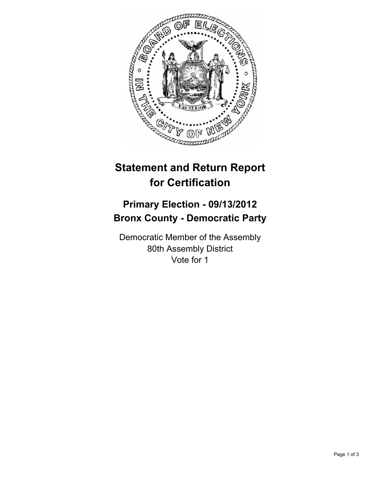

## **Statement and Return Report for Certification**

## **Primary Election - 09/13/2012 Bronx County - Democratic Party**

Democratic Member of the Assembly 80th Assembly District Vote for 1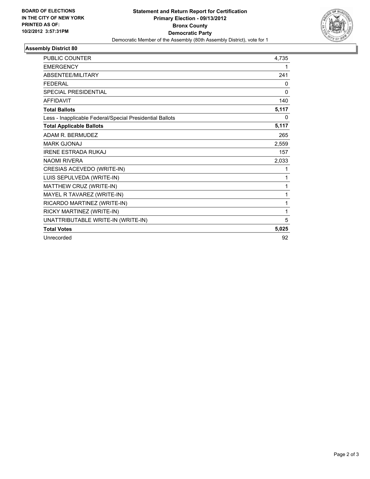

## **Assembly District 80**

| <b>PUBLIC COUNTER</b>                                    | 4,735 |
|----------------------------------------------------------|-------|
| <b>EMERGENCY</b>                                         | 1     |
| ABSENTEE/MILITARY                                        | 241   |
| <b>FEDERAL</b>                                           | 0     |
| <b>SPECIAL PRESIDENTIAL</b>                              | 0     |
| <b>AFFIDAVIT</b>                                         | 140   |
| <b>Total Ballots</b>                                     | 5,117 |
| Less - Inapplicable Federal/Special Presidential Ballots | 0     |
| <b>Total Applicable Ballots</b>                          | 5,117 |
| ADAM R. BERMUDEZ                                         | 265   |
| <b>MARK GJONAJ</b>                                       | 2,559 |
| <b>IRENE ESTRADA RUKAJ</b>                               | 157   |
| <b>NAOMI RIVERA</b>                                      | 2,033 |
| CRESIAS ACEVEDO (WRITE-IN)                               | 1     |
| LUIS SEPULVEDA (WRITE-IN)                                | 1     |
| MATTHEW CRUZ (WRITE-IN)                                  | 1     |
| MAYEL R TAVAREZ (WRITE-IN)                               | 1     |
| RICARDO MARTINEZ (WRITE-IN)                              | 1     |
| RICKY MARTINEZ (WRITE-IN)                                | 1     |
| UNATTRIBUTABLE WRITE-IN (WRITE-IN)                       | 5     |
| <b>Total Votes</b>                                       | 5,025 |
| Unrecorded                                               | 92    |